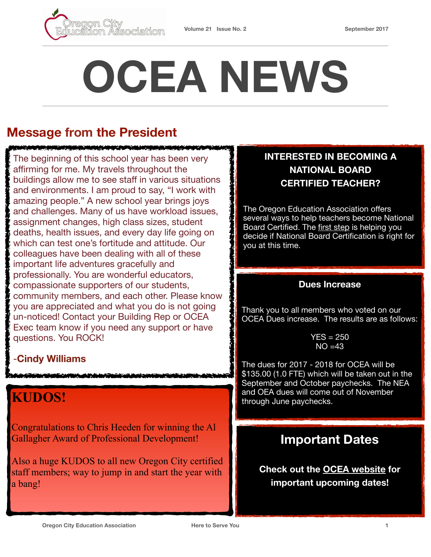

# **OCEA NEWS**

### **Message from the President**

**IN THE INTERNATIONAL AND ARRANGEMENT OF THE INTERNATIONAL** 

The beginning of this school year has been very affirming for me. My travels throughout the buildings allow me to see staff in various situations and environments. I am proud to say, "I work with amazing people." A new school year brings joys and challenges. Many of us have workload issues, assignment changes, high class sizes, student deaths, health issues, and every day life going on which can test one's fortitude and attitude. Our colleagues have been dealing with all of these important life adventures gracefully and professionally. You are wonderful educators, compassionate supporters of our students, community members, and each other. Please know you are appreciated and what you do is not going un-noticed! Contact your Building Rep or OCEA Exec team know if you need any support or have questions. You ROCK!

#### -**Cindy Williams**

## **KUDOS!**

Congratulations to Chris Heeden for winning the Al Gallagher Award of Professional Development!

Also a huge KUDOS to all new Oregon City certified staff members; way to jump in and start the year with a bang!

#### **INTERESTED IN BECOMING A NATIONAL BOARD CERTIFIED TEACHER?**

The Oregon Education Association offers several ways to help teachers become National Board Certified. The [first step](http://www.oregoned.org/stay-informed/professional-development/national-board-certified-teachers) is helping you decide if National Board Certification is right for you at this time.

#### **Dues Increase**

Thank you to all members who voted on our OCEA Dues increase. The results are as follows:

> $YES = 250$  $NO = 43$

The dues for 2017 - 2018 for OCEA will be \$135.00 (1.0 FTE) which will be taken out in the September and October paychecks. The NEA and OEA dues will come out of November through June paychecks.

#### **Important Dates**

**Check out the [OCEA website](https://www.orecityea.org/) for important upcoming dates!**